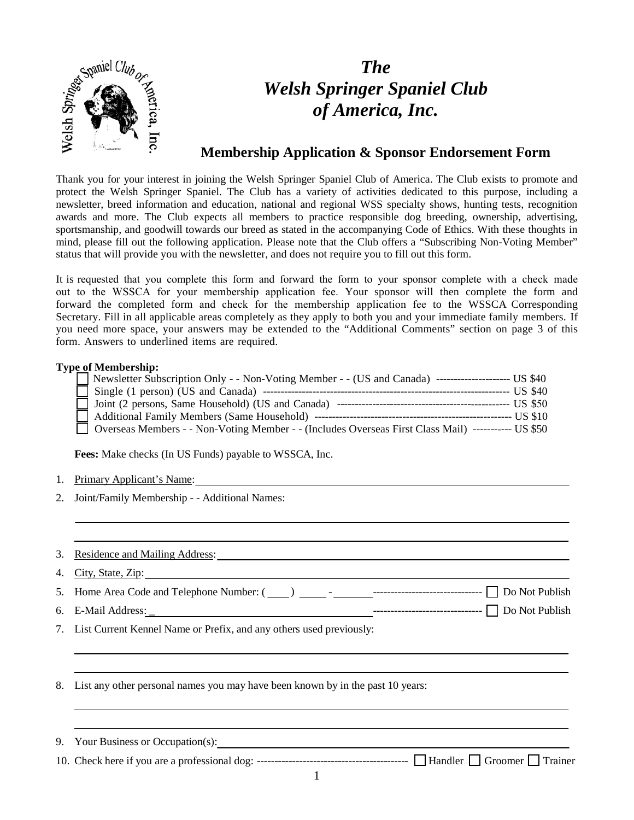

# *The Welsh Springer Spaniel Club of America, Inc.*

### **Membership Application & Sponsor Endorsement Form**

Thank you for your interest in joining the Welsh Springer Spaniel Club of America. The Club exists to promote and protect the Welsh Springer Spaniel. The Club has a variety of activities dedicated to this purpose, including a newsletter, breed information and education, national and regional WSS specialty shows, hunting tests, recognition awards and more. The Club expects all members to practice responsible dog breeding, ownership, advertising, sportsmanship, and goodwill towards our breed as stated in the accompanying Code of Ethics. With these thoughts in mind, please fill out the following application. Please note that the Club offers a "Subscribing Non-Voting Member" status that will provide you with the newsletter, and does not require you to fill out this form.

It is requested that you complete this form and forward the form to your sponsor complete with a check made out to the WSSCA for your membership application fee. Your sponsor will then complete the form and forward the completed form and check for the membership application fee to the WSSCA Corresponding Secretary. Fill in all applicable areas completely as they apply to both you and your immediate family members. If you need more space, your answers may be extended to the "Additional Comments" section on page 3 of this form. Answers to underlined items are required.

#### **Type of Membership:**

| Newsletter Subscription Only - - Non-Voting Member - - (US and Canada) ---------------------------- US \$40 |  |
|-------------------------------------------------------------------------------------------------------------|--|
|                                                                                                             |  |
|                                                                                                             |  |
|                                                                                                             |  |
| Overseas Members - - Non-Voting Member - - (Includes Overseas First Class Mail) ------------ US \$50        |  |

**Fees:** Make checks (In US Funds) payable to WSSCA, Inc.

|  |  |  |  |  | Primary Applicant's Name: |
|--|--|--|--|--|---------------------------|
|--|--|--|--|--|---------------------------|

- 2. Joint/Family Membership - Additional Names:
- 3. Residence and Mailing Address:
- 4. City, State, Zip:
- 5. Home Area Code and Telephone Number: ( ) ------------------------------- Do Not Publish
- 6. E-Mail Address: 2008 2018 2019 2020 2021 2021 2022 2022 2023 2024 2022 2023 2024 2022 2023 2022 2023 2022 2023 2022 2023 2022 2023 2023 2023 2023 2023 2023 2023 2023 2023 2023 2023 2023 2023 2023 2023 2023 2023 2023 202
- 7. List Current Kennel Name or Prefix, and any others used previously:
- 8. List any other personal names you may have been known by in the past 10 years:

| 9. Your Business or Occupation(s): |  |
|------------------------------------|--|
|                                    |  |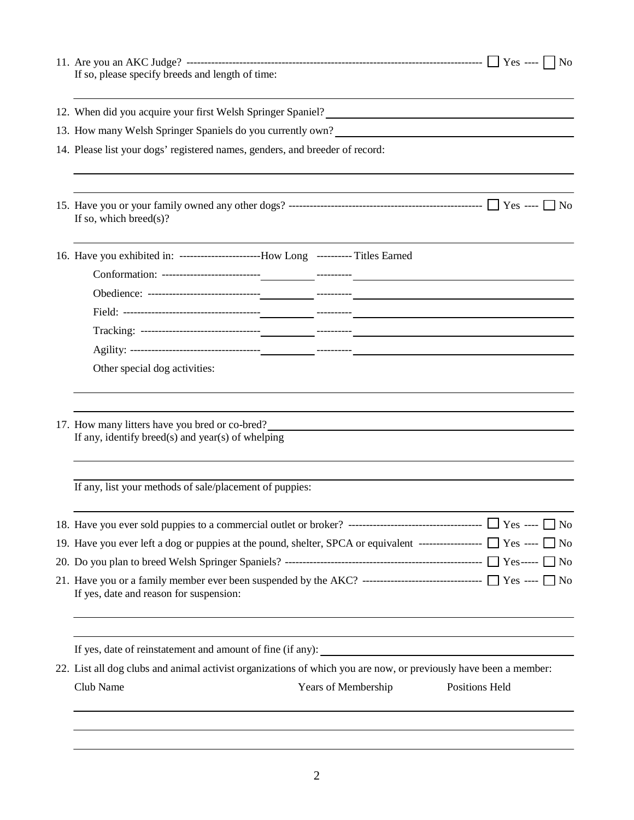| If so, please specify breeds and length of time:                                                                                  |  |  |  |  |
|-----------------------------------------------------------------------------------------------------------------------------------|--|--|--|--|
| 12. When did you acquire your first Welsh Springer Spaniel?<br>12. When did you acquire your first Welsh Springer Spaniel?        |  |  |  |  |
| 13. How many Welsh Springer Spaniels do you currently own?<br><u> 1989 - Johann Stein, mars an deus Amerikaansk kommunister (</u> |  |  |  |  |
| 14. Please list your dogs' registered names, genders, and breeder of record:                                                      |  |  |  |  |
| If so, which breed $(s)$ ?                                                                                                        |  |  |  |  |
| 16. Have you exhibited in: ------------------------How Long ---------- Titles Earned                                              |  |  |  |  |
|                                                                                                                                   |  |  |  |  |
|                                                                                                                                   |  |  |  |  |
|                                                                                                                                   |  |  |  |  |
|                                                                                                                                   |  |  |  |  |
| Other special dog activities:                                                                                                     |  |  |  |  |
| 17. How many litters have you bred or co-bred?<br>If any, identify breed(s) and year(s) of whelping                               |  |  |  |  |
| If any, list your methods of sale/placement of puppies:                                                                           |  |  |  |  |
|                                                                                                                                   |  |  |  |  |
| 19. Have you ever left a dog or puppies at the pound, shelter, SPCA or equivalent ------------------ $\Box$ Yes ---- $\Box$ No    |  |  |  |  |
|                                                                                                                                   |  |  |  |  |
| If yes, date and reason for suspension:                                                                                           |  |  |  |  |
|                                                                                                                                   |  |  |  |  |
| 22. List all dog clubs and animal activist organizations of which you are now, or previously have been a member:                  |  |  |  |  |
| Club Name<br>Years of Membership<br>Positions Held                                                                                |  |  |  |  |
|                                                                                                                                   |  |  |  |  |
|                                                                                                                                   |  |  |  |  |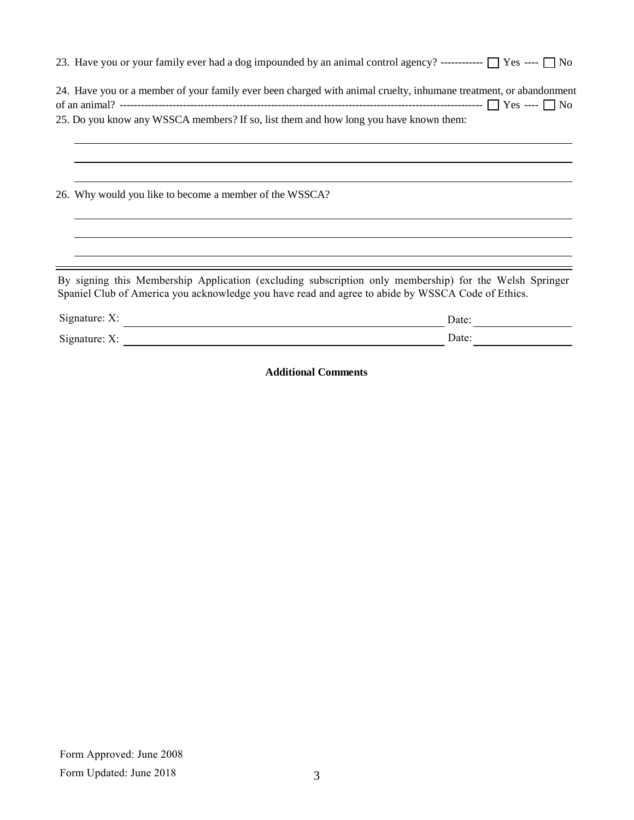|                                                                                       | 23. Have you or your family ever had a dog impounded by an animal control agency? ------------ $\Box$ Yes ---- $\Box$ No                                                                                    |
|---------------------------------------------------------------------------------------|-------------------------------------------------------------------------------------------------------------------------------------------------------------------------------------------------------------|
|                                                                                       | 24. Have you or a member of your family ever been charged with animal cruelty, inhumane treatment, or abandonment                                                                                           |
| 25. Do you know any WSSCA members? If so, list them and how long you have known them: |                                                                                                                                                                                                             |
| 26. Why would you like to become a member of the WSSCA?                               |                                                                                                                                                                                                             |
|                                                                                       | By signing this Membership Application (excluding subscription only membership) for the Welsh Springer<br>Spaniel Club of America you acknowledge you have read and agree to abide by WSSCA Code of Ethics. |
| Signature: X:                                                                         | Date:                                                                                                                                                                                                       |
| Signature: $X$ :                                                                      | Date:                                                                                                                                                                                                       |

**Additional Comments**